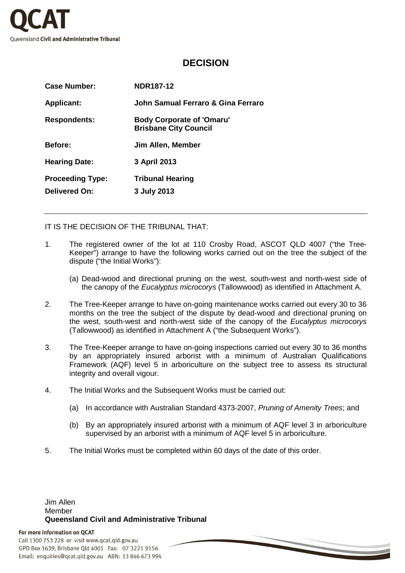

## **DECISION**

| <b>Case Number:</b>                             | <b>NDR187-12</b>                                                 |
|-------------------------------------------------|------------------------------------------------------------------|
| <b>Applicant:</b>                               | John Samual Ferraro & Gina Ferraro                               |
| <b>Respondents:</b>                             | <b>Body Corporate of 'Omaru'</b><br><b>Brisbane City Council</b> |
| <b>Before:</b>                                  | Jim Allen, Member                                                |
| <b>Hearing Date:</b>                            | 3 April 2013                                                     |
| <b>Proceeding Type:</b><br><b>Delivered On:</b> | <b>Tribunal Hearing</b><br>3 July 2013                           |
|                                                 |                                                                  |

IT IS THE DECISION OF THE TRIBUNAL THAT:

- 1. The registered owner of the lot at 110 Crosby Road, ASCOT QLD 4007 ("the Tree-Keeper") arrange to have the following works carried out on the tree the subject of the dispute ("the Initial Works"):
	- (a) Dead-wood and directional pruning on the west, south-west and north-west side of the canopy of the Eucalyptus microcorys (Tallowwood) as identified in Attachment A.
- 2. The Tree-Keeper arrange to have on-going maintenance works carried out every 30 to 36 months on the tree the subject of the dispute by dead-wood and directional pruning on the west, south-west and north-west side of the canopy of the Eucalyptus microcorys (Tallowwood) as identified in Attachment A ("the Subsequent Works").
- 3. The Tree-Keeper arrange to have on-going inspections carried out every 30 to 36 months by an appropriately insured arborist with a minimum of Australian Qualifications Framework (AQF) level 5 in arboriculture on the subject tree to assess its structural integrity and overall vigour.
- 4. The Initial Works and the Subsequent Works must be carried out:
	- (a) In accordance with Australian Standard 4373-2007, Pruning of Amenity Trees; and
	- (b) By an appropriately insured arborist with a minimum of AQF level 3 in arboriculture supervised by an arborist with a minimum of AQF level 5 in arboriculture.
- 5. The Initial Works must be completed within 60 days of the date of this order.

## Jim Allen Member **Queensland Civil and Administrative Tribunal**

## For more information on QCAT